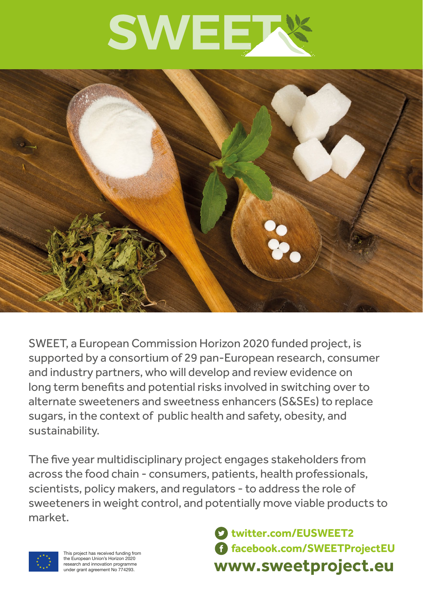



SWEET, a European Commission Horizon 2020 funded project, is supported by a consortium of 29 pan-European research, consumer and industry partners, who will develop and review evidence on long term benefits and potential risks involved in switching over to alternate sweeteners and sweetness enhancers (S&SEs) to replace sugars, in the context of public health and safety, obesity, and sustainability.

The five year multidisciplinary project engages stakeholders from across the food chain - consumers, patients, health professionals, scientists, policy makers, and regulators - to address the role of sweeteners in weight control, and potentially move viable products to market.



This project has received funding from the European Union's Horizon 2020 research and innovation programme under grant agreement No 774293.

**www.sweetproject.eu twitter.com/EUSWEET2 facebook.com/SWEETProjectEU**